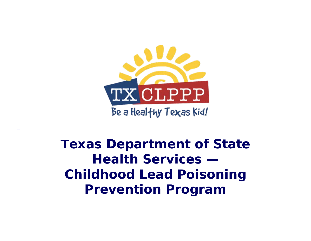

**Texas Department of State Health Services — Childhood Lead Poisoning Prevention Program**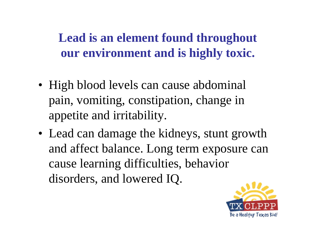**Lead is an element found throughout our environment and is highly toxic.**

- High blood levels can cause abdominal pain, vomiting, constipation, change in appetite and irritability.
- Lead can damage the kidneys, stunt growth and affect balance. Long term exposure can cause learning difficulties, behavior disorders, and lowered IQ.

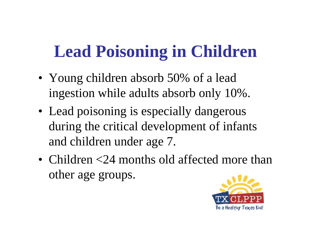# **Lead Poisoning in Children**

- Young children absorb 50% of a lead ingestion while adults absorb only 10%.
- Lead poisoning is especially dangerous during the critical development of infants and children under age 7.
- Children <24 months old affected more than other age groups.

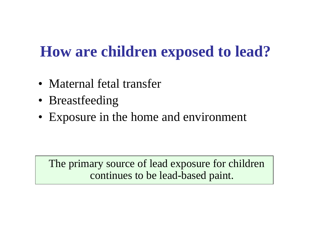### **How are children exposed to lead?**

- Maternal fetal transfer
- Breastfeeding
- Exposure in the home and environment

The primary source of lead exposure for children continues to be lead-based paint.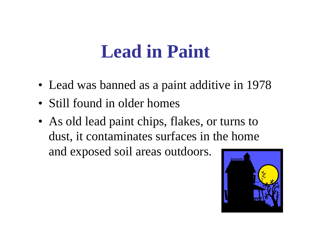# **Lead in Paint**

- Lead was banned as a paint additive in 1978
- Still found in older homes
- As old lead paint chips, flakes, or turns to dust, it contaminates surfaces in the home and exposed soil areas outdoors.

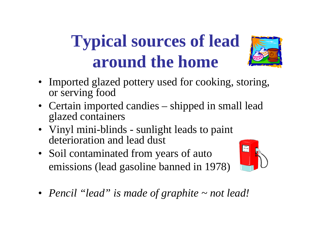# **Typical sources of lead around the home**



- Certain imported candies shipped in small lead glazed containers
- Vinyl mini-blinds sunlight leads to paint deterioration and lead dust
- Soil contaminated from years of auto emissions (lead gasoline banned in 1978)



• *Pencil "lead" is made of graphite ~ not lead!*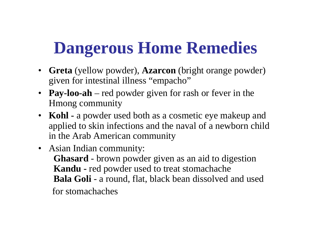# **Dangerous Home Remedies**

- **Greta** (yellow powder), **Azarcon** (bright orange powder) given for intestinal illness "empacho"
- **Pay-loo-ah** red powder given for rash or fever in the Hmong community
- **Kohl** a powder used both as a cosmetic eye makeup and applied to skin infections and the naval of a newborn child in the Arab American community
- Asian Indian community: **Ghasard** - brown powder given as an aid to digestion **Kandu -** red powder used to treat stomachache **Bala Goli** - a round, flat, black bean dissolved and used for stomachaches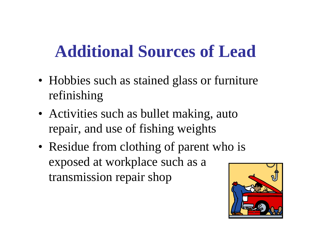# **Additional Sources of Lead**

- Hobbies such as stained glass or furniture refinishing
- Activities such as bullet making, auto repair, and use of fishing weights
- Residue from clothing of parent who is exposed at workplace such as a transmission repair shop

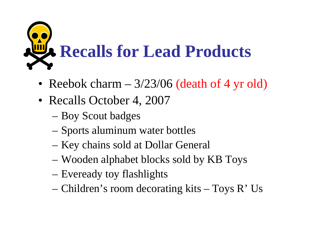

- Reebok charm  $-3/23/06$  (death of 4 yr old)
- Recalls October 4, 2007
	- Boy Scout badges
	- Sports aluminum water bottles
	- Key chains sold at Dollar General
	- Wooden alphabet blocks sold by KB Toys
	- Eveready toy flashlights
	- Children's room decorating kits Toys R' Us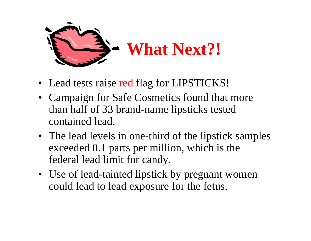

- Lead tests raise red flag for LIPSTICKS!
- Campaign for Safe Cosmetics found that more than half of 33 brand-name lipsticks tested contained lead.
- The lead levels in one-third of the lipstick samples exceeded 0.1 parts per million, which is the federal lead limit for candy.
- Use of lead-tainted lipstick by pregnant women could lead to lead exposure for the fetus.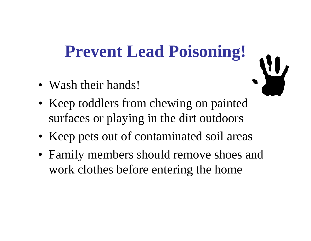# **Prevent Lead Poisoning!**

- Wash their hands!
- Keep toddlers from chewing on painted surfaces or playing in the dirt outdoors
- Keep pets out of contaminated soil areas
- Family members should remove shoes and work clothes before entering the home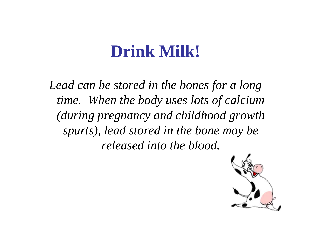### **Drink Milk!**

*Lead can be stored in the bones for a long time. When the body uses lots of calcium (during pregnancy and childhood growth spurts), lead stored in the bone may be released into the blood.*

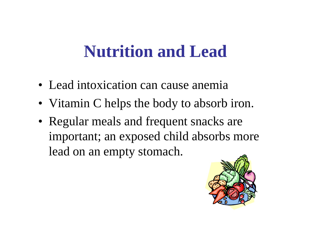## **Nutrition and Lead**

- Lead intoxication can cause anemia
- Vitamin C helps the body to absorb iron.
- Regular meals and frequent snacks are important; an exposed child absorbs more lead on an empty stomach.

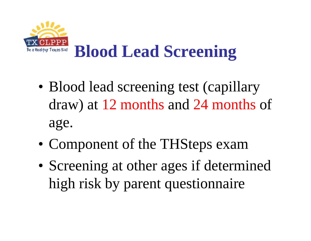

- Blood lead screening test (capillary draw) at 12 months and 24 months of age.
- Component of the THSteps exam
- Screening at other ages if determined high risk by parent questionnaire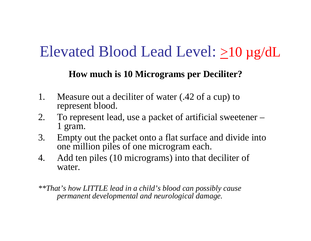### Elevated Blood Lead Level: >10 µg/dL

#### **How much is 10 Micrograms per Deciliter?**

- 1. Measure out a deciliter of water (.42 of a cup) to represent blood.
- 2. To represent lead, use a packet of artificial sweetener 1 gram.
- 3. Empty out the packet onto a flat surface and divide into one million piles of one microgram each.
- 4. Add ten piles (10 micrograms) into that deciliter of water.

*\*\*That's how LITTLE lead in a child's blood can possibly cause permanent developmental and neurological damage.*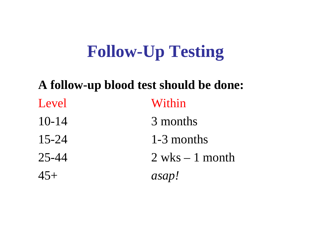# **Follow-Up Testing**

### **A follow-up blood test should be done:** Level Within 10-14 3 months 15-24 1-3 months 25-44 2 wks – 1 month45+ *asap!*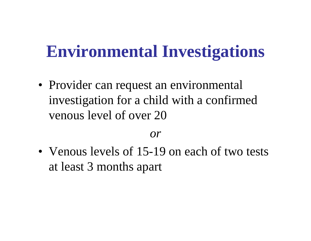## **Environmental Investigations**

• Provider can request an environmental investigation for a child with a confirmed venous level of over 20

#### *or*

• Venous levels of 15-19 on each of two tests at least 3 months apart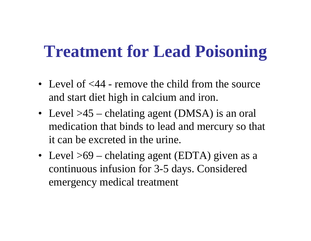## **Treatment for Lead Poisoning**

- Level of  $<44$  remove the child from the source and start diet high in calcium and iron.
- Level >45 chelating agent (DMSA) is an oral medication that binds to lead and mercury so that it can be excreted in the urine.
- Level >69 chelating agent (EDTA) given as a continuous infusion for 3-5 days. Considered emergency medical treatment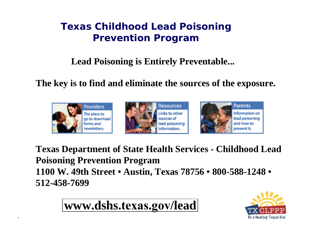#### **Texas Childhood Lead Poisoning Prevention Program**

#### **Lead Poisoning is Entirely Preventable...**

#### **The key is to find and eliminate the sources of the exposure.**



**Texas Department of State Health Services - Childhood Lead Poisoning Prevention Program 1100 W. 49th Street • Austin, Texas 78756 • 800-588-1248 • 512-458-7699**

**www.dshs[.texas.gov](https://www.dshs.texas.gov/lead)/lead**